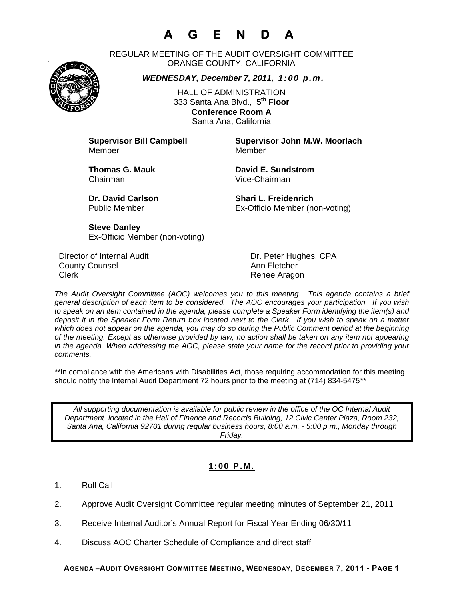# **A G E N D A**

REGULAR MEETING OF THE AUDIT OVERSIGHT COMMITTEE ORANGE COUNTY, CALIFORNIA

*WEDNESDAY, December 7, 2011, 1:00 p.m.*

HALL OF ADMINISTRATION 333 Santa Ana Blvd., **5th Floor Conference Room A**  Santa Ana, California

Member Member

**Supervisor Bill Campbell Supervisor John M.W. Moorlach**

Chairman Vice-Chairman

**Thomas G. Mauk Communist Communist Communist Communist Communist Communist Communist Communist Communist Communist Communist Communist Communist Communist Communist Communist Communist Communist Communist Communist Commun** 

**Dr. David Carlson Shari L. Freidenrich** Public Member Ex-Officio Member (non-voting)

**Steve Danley** Ex-Officio Member (non-voting)

Director of Internal Audit **Dr. Peter Hughes, CPA County Counsel Countillist County Counsel Ann Fletcher** Clerk **Clerk Renee Aragon** 

*The Audit Oversight Committee (AOC) welcomes you to this meeting. This agenda contains a brief general description of each item to be considered. The AOC encourages your participation. If you wish to speak on an item contained in the agenda, please complete a Speaker Form identifying the item(s) and deposit it in the Speaker Form Return box located next to the Clerk. If you wish to speak on a matter which does not appear on the agenda, you may do so during the Public Comment period at the beginning of the meeting. Except as otherwise provided by law, no action shall be taken on any item not appearing in the agenda. When addressing the AOC, please state your name for the record prior to providing your comments.* 

*\*\**In compliance with the Americans with Disabilities Act, those requiring accommodation for this meeting should notify the Internal Audit Department 72 hours prior to the meeting at (714) 834-5475*\*\** 

*All supporting documentation is available for public review in the office of the OC Internal Audit Department located in the Hall of Finance and Records Building, 12 Civic Center Plaza, Room 232, Santa Ana, California 92701 during regular business hours, 8:00 a.m. - 5:00 p.m., Monday through Friday.* 

### **1:00 P.M.**

- 1. Roll Call
- 2. Approve Audit Oversight Committee regular meeting minutes of September 21, 2011
- 3. Receive Internal Auditor's Annual Report for Fiscal Year Ending 06/30/11
- 4. Discuss AOC Charter Schedule of Compliance and direct staff